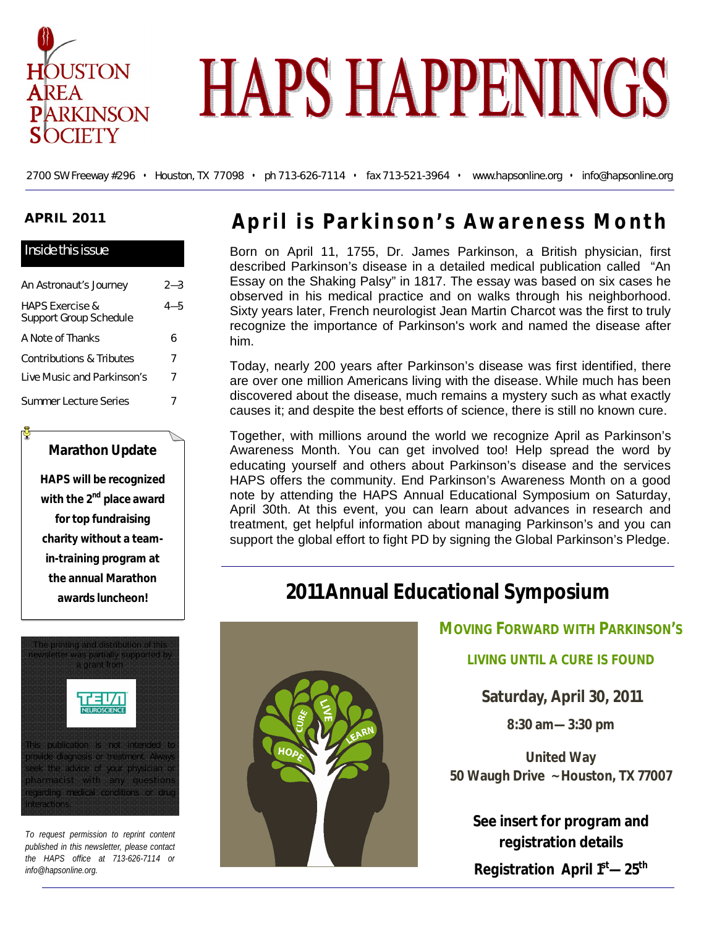

# **HAPS HAPPENINGS**

2700 SW Freeway #296 • Houston, TX 77098 • ph 713-626-7114 • fax 713-521-3964 • www.hapsonline.org • info@hapsonline.org

### **APRIL 2011**

| Inside this issue                                    |         |
|------------------------------------------------------|---------|
| An Astronaut's Journey                               | $2 - 3$ |
| <b>HAPS Exercise &amp;</b><br>Support Group Schedule | $4 - 5$ |
| A Note of Thanks                                     | 6       |
| Contributions & Tributes                             | 7       |
| Live Music and Parkinson's                           | 7       |
| Summer Lecture Series                                |         |

### **Marathon Update**

**HAPS will be recognized with the 2nd place award for top fundraising charity without a teamin-training program at the annual Marathon awards luncheon!**

The printing and distribution of this newsletter was partially supported by a grant from



This publication is not intended to provide diagnosis or treatment. Always seek the advice of your physician or  $\mathfrak{p}$  harmacist with any questions regarding medical conditions or drug nteractions.

*To request permission to reprint content published in this newsletter, please contact the HAPS office at 713-626-7114 or info@hapsonline.org.*

## **April is Parkinson's Awareness Month**

Born on April 11, 1755, Dr. James Parkinson, a British physician, first described Parkinson's disease in a detailed medical publication called "An Essay on the Shaking Palsy" in 1817. The essay was based on six cases he observed in his medical practice and on walks through his neighborhood. Sixty years later, French neurologist Jean Martin Charcot was the first to truly recognize the importance of Parkinson's work and named the disease after him.

Today, nearly 200 years after Parkinson's disease was first identified, there are over one million Americans living with the disease. While much has been discovered about the disease, much remains a mystery such as what exactly causes it; and despite the best efforts of science, there is still no known cure.

Together, with millions around the world we recognize April as Parkinson's Awareness Month. You can get involved too! Help spread the word by educating yourself and others about Parkinson's disease and the services HAPS offers the community. End Parkinson's Awareness Month on a good note by attending the HAPS Annual Educational Symposium on Saturday, April 30th. At this event, you can learn about advances in research and treatment, get helpful information about managing Parkinson's and you can support the global effort to fight PD by signing the Global Parkinson's Pledge.

# **2011 Annual Educational Symposium**



**MOVING FORWARD WITH PARKINSON'S**

**LIVING UNTIL A CURE IS FOUND**

**Saturday, April 30, 2011**

**8:30 am—3:30 pm**

**United Way 50 Waugh Drive ~ Houston, TX 77007**

**See insert for program and registration details Registration April 1st—25th**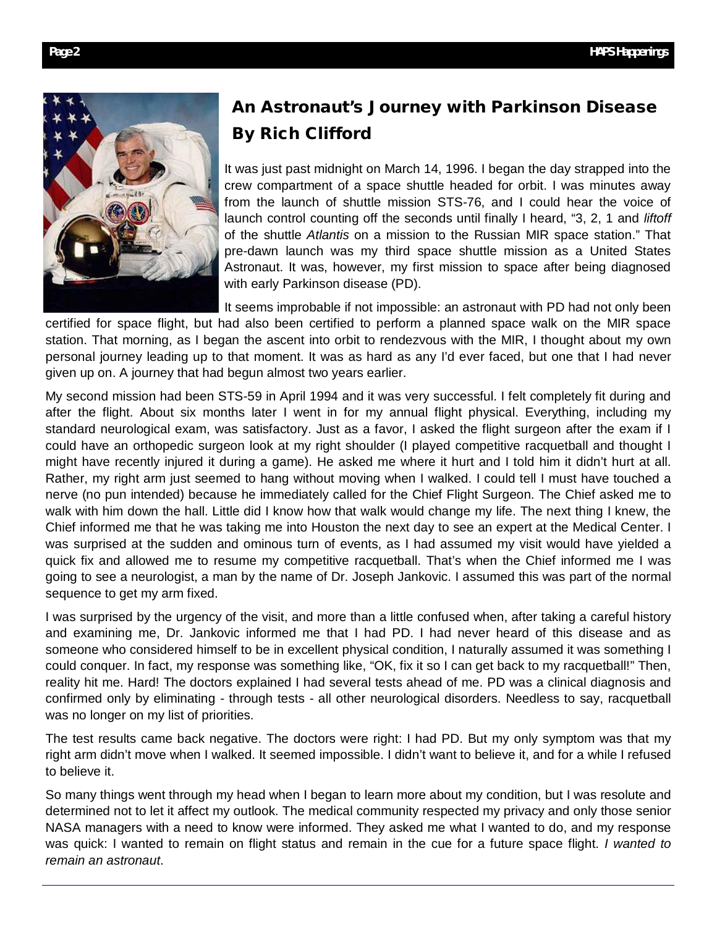

### **An Astronaut's Journey with Parkinson Disease By Rich Clifford**

It was just past midnight on March 14, 1996. I began the day strapped into the crew compartment of a space shuttle headed for orbit. I was minutes away from the launch of shuttle mission STS-76, and I could hear the voice of launch control counting off the seconds until finally I heard, "3, 2, 1 and *liftoff* of the shuttle *Atlantis* on a mission to the Russian MIR space station." That pre-dawn launch was my third space shuttle mission as a United States Astronaut. It was, however, my first mission to space after being diagnosed with early Parkinson disease (PD).

It seems improbable if not impossible: an astronaut with PD had not only been certified for space flight, but had also been certified to perform a planned space walk on the MIR space station. That morning, as I began the ascent into orbit to rendezvous with the MIR, I thought about my own personal journey leading up to that moment. It was as hard as any I'd ever faced, but one that I had never given up on. A journey that had begun almost two years earlier.

My second mission had been STS-59 in April 1994 and it was very successful. I felt completely fit during and after the flight. About six months later I went in for my annual flight physical. Everything, including my standard neurological exam, was satisfactory. Just as a favor, I asked the flight surgeon after the exam if I could have an orthopedic surgeon look at my right shoulder (I played competitive racquetball and thought I might have recently injured it during a game). He asked me where it hurt and I told him it didn't hurt at all. Rather, my right arm just seemed to hang without moving when I walked. I could tell I must have touched a nerve (no pun intended) because he immediately called for the Chief Flight Surgeon. The Chief asked me to walk with him down the hall. Little did I know how that walk would change my life. The next thing I knew, the Chief informed me that he was taking me into Houston the next day to see an expert at the Medical Center. I was surprised at the sudden and ominous turn of events, as I had assumed my visit would have yielded a quick fix and allowed me to resume my competitive racquetball. That's when the Chief informed me I was going to see a neurologist, a man by the name of Dr. Joseph Jankovic. I assumed this was part of the normal sequence to get my arm fixed.

I was surprised by the urgency of the visit, and more than a little confused when, after taking a careful history and examining me, Dr. Jankovic informed me that I had PD. I had never heard of this disease and as someone who considered himself to be in excellent physical condition, I naturally assumed it was something I could conquer. In fact, my response was something like, "OK, fix it so I can get back to my racquetball!" Then, reality hit me. Hard! The doctors explained I had several tests ahead of me. PD was a clinical diagnosis and confirmed only by eliminating - through tests - all other neurological disorders. Needless to say, racquetball was no longer on my list of priorities.

The test results came back negative. The doctors were right: I had PD. But my only symptom was that my right arm didn't move when I walked. It seemed impossible. I didn't want to believe it, and for a while I refused to believe it.

So many things went through my head when I began to learn more about my condition, but I was resolute and determined not to let it affect my outlook. The medical community respected my privacy and only those senior NASA managers with a need to know were informed. They asked me what I wanted to do, and my response was quick: I wanted to remain on flight status and remain in the cue for a future space flight. *I wanted to remain an astronaut*.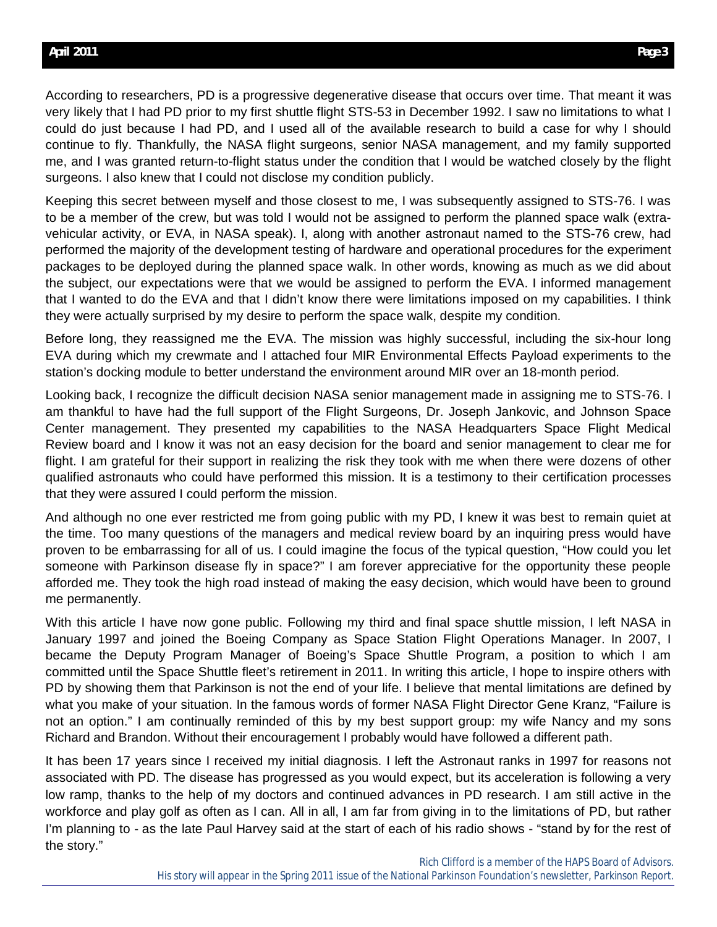According to researchers, PD is a progressive degenerative disease that occurs over time. That meant it was very likely that I had PD prior to my first shuttle flight STS-53 in December 1992. I saw no limitations to what I could do just because I had PD, and I used all of the available research to build a case for why I should continue to fly. Thankfully, the NASA flight surgeons, senior NASA management, and my family supported me, and I was granted return-to-flight status under the condition that I would be watched closely by the flight surgeons. I also knew that I could not disclose my condition publicly.

Keeping this secret between myself and those closest to me, I was subsequently assigned to STS-76. I was to be a member of the crew, but was told I would not be assigned to perform the planned space walk (extravehicular activity, or EVA, in NASA speak). I, along with another astronaut named to the STS-76 crew, had performed the majority of the development testing of hardware and operational procedures for the experiment packages to be deployed during the planned space walk. In other words, knowing as much as we did about the subject, our expectations were that we would be assigned to perform the EVA. I informed management that I wanted to do the EVA and that I didn't know there were limitations imposed on my capabilities. I think they were actually surprised by my desire to perform the space walk, despite my condition.

Before long, they reassigned me the EVA. The mission was highly successful, including the six-hour long EVA during which my crewmate and I attached four MIR Environmental Effects Payload experiments to the station's docking module to better understand the environment around MIR over an 18-month period.

Looking back, I recognize the difficult decision NASA senior management made in assigning me to STS-76. I am thankful to have had the full support of the Flight Surgeons, Dr. Joseph Jankovic, and Johnson Space Center management. They presented my capabilities to the NASA Headquarters Space Flight Medical Review board and I know it was not an easy decision for the board and senior management to clear me for flight. I am grateful for their support in realizing the risk they took with me when there were dozens of other qualified astronauts who could have performed this mission. It is a testimony to their certification processes that they were assured I could perform the mission.

And although no one ever restricted me from going public with my PD, I knew it was best to remain quiet at the time. Too many questions of the managers and medical review board by an inquiring press would have proven to be embarrassing for all of us. I could imagine the focus of the typical question, "How could you let someone with Parkinson disease fly in space?" I am forever appreciative for the opportunity these people afforded me. They took the high road instead of making the easy decision, which would have been to ground me permanently.

With this article I have now gone public. Following my third and final space shuttle mission, I left NASA in January 1997 and joined the Boeing Company as Space Station Flight Operations Manager. In 2007, I became the Deputy Program Manager of Boeing's Space Shuttle Program, a position to which I am committed until the Space Shuttle fleet's retirement in 2011. In writing this article, I hope to inspire others with PD by showing them that Parkinson is not the end of your life. I believe that mental limitations are defined by what you make of your situation. In the famous words of former NASA Flight Director Gene Kranz, "Failure is not an option." I am continually reminded of this by my best support group: my wife Nancy and my sons Richard and Brandon. Without their encouragement I probably would have followed a different path.

It has been 17 years since I received my initial diagnosis. I left the Astronaut ranks in 1997 for reasons not associated with PD. The disease has progressed as you would expect, but its acceleration is following a very low ramp, thanks to the help of my doctors and continued advances in PD research. I am still active in the workforce and play golf as often as I can. All in all, I am far from giving in to the limitations of PD, but rather I'm planning to - as the late Paul Harvey said at the start of each of his radio shows - "stand by for the rest of the story."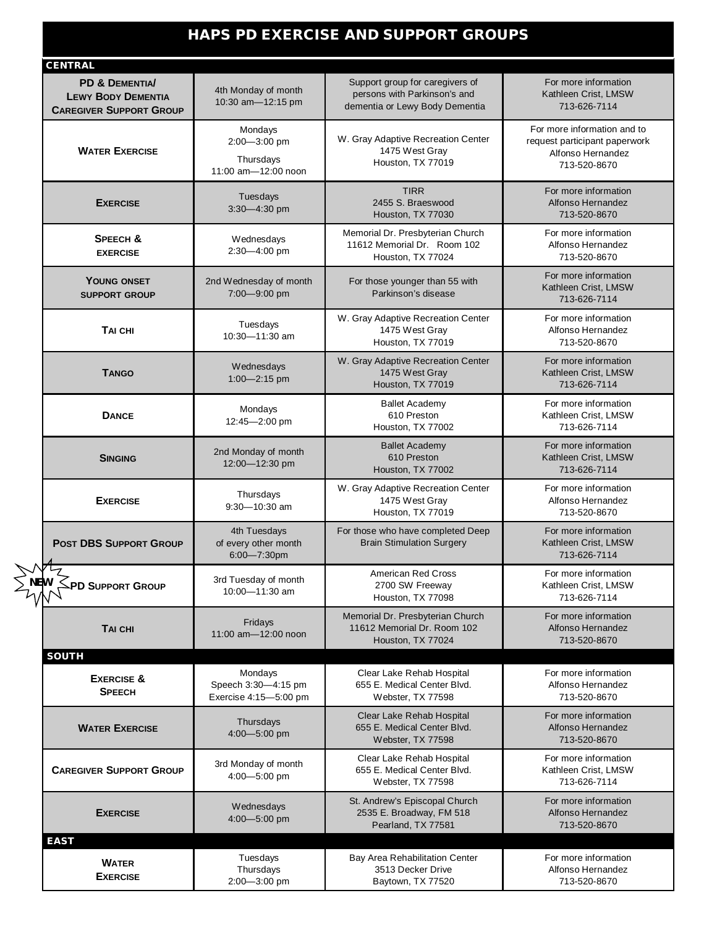### **HAPS PD EXERCISE AND SUPPORT GROUPS**

|  | <b>CENTRAL</b><br>PD & DEMENTIA/<br><b>LEWY BODY DEMENTIA</b><br><b>CAREGIVER SUPPORT GROUP</b> | 4th Monday of month<br>10:30 am-12:15 pm                    | Support group for caregivers of<br>persons with Parkinson's and<br>dementia or Lewy Body Dementia | For more information<br>Kathleen Crist, LMSW<br>713-626-7114                                      |
|--|-------------------------------------------------------------------------------------------------|-------------------------------------------------------------|---------------------------------------------------------------------------------------------------|---------------------------------------------------------------------------------------------------|
|  | <b>WATER EXERCISE</b>                                                                           | Mondays<br>2:00-3:00 pm<br>Thursdays<br>11:00 am-12:00 noon | W. Gray Adaptive Recreation Center<br>1475 West Gray<br>Houston, TX 77019                         | For more information and to<br>request participant paperwork<br>Alfonso Hernandez<br>713-520-8670 |
|  | <b>EXERCISE</b>                                                                                 | Tuesdays<br>3:30-4:30 pm                                    | <b>TIRR</b><br>2455 S. Braeswood<br>Houston, TX 77030                                             | For more information<br>Alfonso Hernandez<br>713-520-8670                                         |
|  | <b>SPEECH &amp;</b><br><b>EXERCISE</b>                                                          | Wednesdays<br>2:30-4:00 pm                                  | Memorial Dr. Presbyterian Church<br>11612 Memorial Dr. Room 102<br>Houston, TX 77024              | For more information<br>Alfonso Hernandez<br>713-520-8670                                         |
|  | YOUNG ONSET<br><b>SUPPORT GROUP</b>                                                             | 2nd Wednesday of month<br>7:00-9:00 pm                      | For those younger than 55 with<br>Parkinson's disease                                             | For more information<br>Kathleen Crist, LMSW<br>713-626-7114                                      |
|  | TAI CHI                                                                                         | Tuesdays<br>10:30-11:30 am                                  | W. Gray Adaptive Recreation Center<br>1475 West Gray<br>Houston, TX 77019                         | For more information<br>Alfonso Hernandez<br>713-520-8670                                         |
|  | <b>TANGO</b>                                                                                    | Wednesdays<br>$1:00 - 2:15$ pm                              | W. Gray Adaptive Recreation Center<br>1475 West Gray<br>Houston, TX 77019                         | For more information<br>Kathleen Crist, LMSW<br>713-626-7114                                      |
|  | <b>DANCE</b>                                                                                    | Mondays<br>12:45-2:00 pm                                    | <b>Ballet Academy</b><br>610 Preston<br>Houston, TX 77002                                         | For more information<br>Kathleen Crist, LMSW<br>713-626-7114                                      |
|  | <b>SINGING</b>                                                                                  | 2nd Monday of month<br>12:00-12:30 pm                       | <b>Ballet Academy</b><br>610 Preston<br>Houston, TX 77002                                         | For more information<br>Kathleen Crist, LMSW<br>713-626-7114                                      |
|  | <b>EXERCISE</b>                                                                                 | Thursdays<br>9:30-10:30 am                                  | W. Gray Adaptive Recreation Center<br>1475 West Gray<br>Houston, TX 77019                         | For more information<br>Alfonso Hernandez<br>713-520-8670                                         |
|  | <b>POST DBS SUPPORT GROUP</b>                                                                   | 4th Tuesdays<br>of every other month<br>$6:00 - 7:30$ pm    | For those who have completed Deep<br><b>Brain Stimulation Surgery</b>                             | For more information<br>Kathleen Crist, LMSW<br>713-626-7114                                      |
|  | <b>⇒PD S</b> ∪PPORT GROUP                                                                       | 3rd Tuesday of month<br>10:00-11:30 am                      | American Red Cross<br>2700 SW Freeway<br>Houston, TX 77098                                        | For more information<br>Kathleen Crist, LMSW<br>713-626-7114                                      |
|  | TAI CHI                                                                                         | Fridays<br>11:00 am-12:00 noon                              | Memorial Dr. Presbyterian Church<br>11612 Memorial Dr. Room 102<br>Houston, TX 77024              | For more information<br>Alfonso Hernandez<br>713-520-8670                                         |
|  | <b>SOUTH</b><br><b>EXERCISE &amp;</b><br><b>SPEECH</b>                                          | Mondays<br>Speech 3:30-4:15 pm<br>Exercise 4:15-5:00 pm     | Clear Lake Rehab Hospital<br>655 E. Medical Center Blvd.<br>Webster, TX 77598                     | For more information<br>Alfonso Hernandez<br>713-520-8670                                         |
|  | <b>WATER EXERCISE</b>                                                                           | Thursdays<br>4:00-5:00 pm                                   | Clear Lake Rehab Hospital<br>655 E. Medical Center Blvd.<br>Webster, TX 77598                     | For more information<br>Alfonso Hernandez<br>713-520-8670                                         |
|  | <b>CAREGIVER SUPPORT GROUP</b>                                                                  | 3rd Monday of month<br>4:00-5:00 pm                         | Clear Lake Rehab Hospital<br>655 E. Medical Center Blvd.<br>Webster, TX 77598                     | For more information<br>Kathleen Crist, LMSW<br>713-626-7114                                      |
|  | <b>EXERCISE</b>                                                                                 | Wednesdays<br>4:00-5:00 pm                                  | St. Andrew's Episcopal Church<br>2535 E. Broadway, FM 518<br>Pearland, TX 77581                   | For more information<br>Alfonso Hernandez<br>713-520-8670                                         |
|  | <b>EAST</b>                                                                                     |                                                             |                                                                                                   |                                                                                                   |
|  | <b>WATER</b><br><b>EXERCISE</b>                                                                 | Tuesdays<br>Thursdays<br>2:00-3:00 pm                       | Bay Area Rehabilitation Center<br>3513 Decker Drive<br>Baytown, TX 77520                          | For more information<br>Alfonso Hernandez<br>713-520-8670                                         |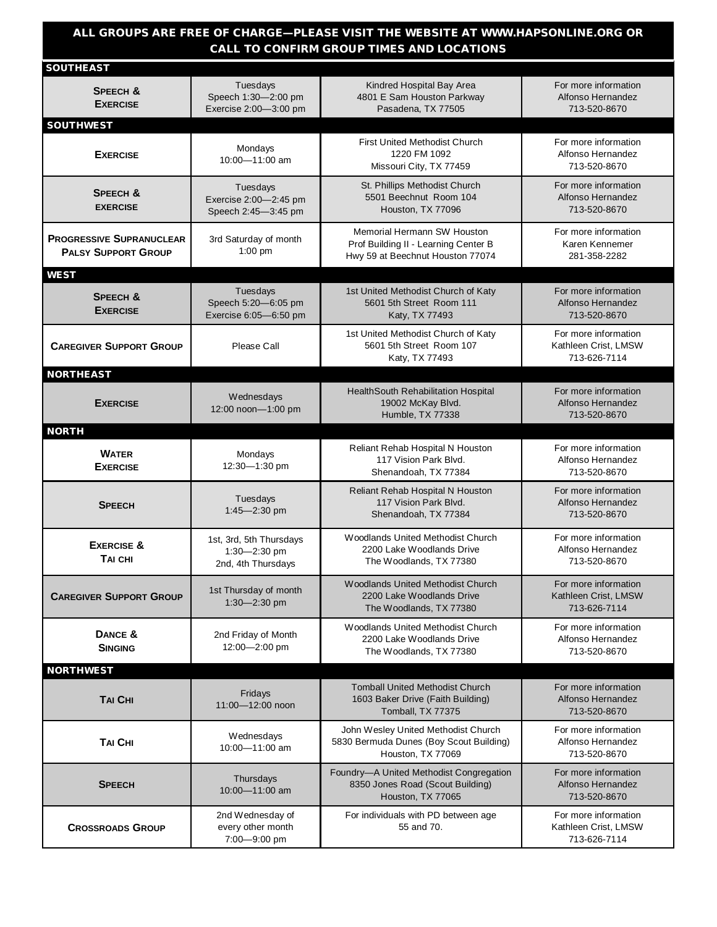### **ALL GROUPS ARE FREE OF CHARGE—PLEASE VISIT THE WEBSITE AT WWW.HAPSONLINE.ORG OR CALL TO CONFIRM GROUP TIMES AND LOCATIONS**

| <b>SOUTHEAST</b>                                              |                                                               |                                                                                                         |                                                              |
|---------------------------------------------------------------|---------------------------------------------------------------|---------------------------------------------------------------------------------------------------------|--------------------------------------------------------------|
| <b>SPEECH &amp;</b><br><b>EXERCISE</b>                        | Tuesdays<br>Speech 1:30-2:00 pm<br>Exercise 2:00-3:00 pm      | Kindred Hospital Bay Area<br>4801 E Sam Houston Parkway<br>Pasadena, TX 77505                           | For more information<br>Alfonso Hernandez<br>713-520-8670    |
| <b>SOUTHWEST</b>                                              |                                                               |                                                                                                         |                                                              |
| <b>EXERCISE</b>                                               | Mondays<br>10:00-11:00 am                                     | <b>First United Methodist Church</b><br>1220 FM 1092<br>Missouri City, TX 77459                         | For more information<br>Alfonso Hernandez<br>713-520-8670    |
| <b>SPEECH &amp;</b><br><b>EXERCISE</b>                        | Tuesdays<br>Exercise 2:00-2:45 pm<br>Speech 2:45-3:45 pm      | St. Phillips Methodist Church<br>5501 Beechnut Room 104<br>Houston, TX 77096                            | For more information<br>Alfonso Hernandez<br>713-520-8670    |
| <b>PROGRESSIVE SUPRANUCLEAR</b><br><b>PALSY SUPPORT GROUP</b> | 3rd Saturday of month<br>$1:00$ pm                            | Memorial Hermann SW Houston<br>Prof Building II - Learning Center B<br>Hwy 59 at Beechnut Houston 77074 | For more information<br>Karen Kennemer<br>281-358-2282       |
| <b>WEST</b>                                                   |                                                               |                                                                                                         |                                                              |
| <b>SPEECH &amp;</b><br><b>EXERCISE</b>                        | Tuesdays<br>Speech 5:20-6:05 pm<br>Exercise 6:05-6:50 pm      | 1st United Methodist Church of Katy<br>5601 5th Street Room 111<br>Katy, TX 77493                       | For more information<br>Alfonso Hernandez<br>713-520-8670    |
| <b>CAREGIVER SUPPORT GROUP</b>                                | Please Call                                                   | 1st United Methodist Church of Katy<br>5601 5th Street Room 107<br>Katy, TX 77493                       | For more information<br>Kathleen Crist, LMSW<br>713-626-7114 |
| <b>NORTHEAST</b>                                              |                                                               |                                                                                                         |                                                              |
| <b>EXERCISE</b>                                               | Wednesdays<br>12:00 noon-1:00 pm                              | HealthSouth Rehabilitation Hospital<br>19002 McKay Blvd.<br>Humble, TX 77338                            | For more information<br>Alfonso Hernandez<br>713-520-8670    |
| <b>NORTH</b>                                                  |                                                               |                                                                                                         |                                                              |
| <b>WATER</b><br><b>EXERCISE</b>                               | Mondays<br>12:30-1:30 pm                                      | Reliant Rehab Hospital N Houston<br>117 Vision Park Blvd.<br>Shenandoah, TX 77384                       | For more information<br>Alfonso Hernandez<br>713-520-8670    |
| <b>SPEECH</b>                                                 | Tuesdays<br>1:45-2:30 pm                                      | Reliant Rehab Hospital N Houston<br>117 Vision Park Blvd.<br>Shenandoah, TX 77384                       | For more information<br>Alfonso Hernandez<br>713-520-8670    |
| <b>EXERCISE &amp;</b><br>TAI CHI                              | 1st, 3rd, 5th Thursdays<br>1:30-2:30 pm<br>2nd, 4th Thursdays | Woodlands United Methodist Church<br>2200 Lake Woodlands Drive<br>The Woodlands, TX 77380               | For more information<br>Alfonso Hernandez<br>713-520-8670    |
| <b>CAREGIVER SUPPORT GROUP</b>                                | 1st Thursday of month<br>$1:30 - 2:30$ pm                     | <b>Woodlands United Methodist Church</b><br>2200 Lake Woodlands Drive<br>The Woodlands, TX 77380        | For more information<br>Kathleen Crist, LMSW<br>713-626-7114 |
| DANCE &<br><b>SINGING</b>                                     | 2nd Friday of Month<br>12:00-2:00 pm                          | Woodlands United Methodist Church<br>2200 Lake Woodlands Drive<br>The Woodlands, TX 77380               | For more information<br>Alfonso Hernandez<br>713-520-8670    |
| <b>NORTHWEST</b>                                              |                                                               |                                                                                                         |                                                              |
| <b>TAI CHI</b>                                                | Fridays<br>11:00-12:00 noon                                   | <b>Tomball United Methodist Church</b><br>1603 Baker Drive (Faith Building)<br>Tomball, TX 77375        | For more information<br>Alfonso Hernandez<br>713-520-8670    |
| <b>TAI CHI</b>                                                | Wednesdays<br>10:00-11:00 am                                  | John Wesley United Methodist Church<br>5830 Bermuda Dunes (Boy Scout Building)<br>Houston, TX 77069     | For more information<br>Alfonso Hernandez<br>713-520-8670    |
| <b>SPEECH</b>                                                 | Thursdays<br>10:00-11:00 am                                   | Foundry-A United Methodist Congregation<br>8350 Jones Road (Scout Building)<br>Houston, TX 77065        | For more information<br>Alfonso Hernandez<br>713-520-8670    |
| <b>CROSSROADS GROUP</b>                                       | 2nd Wednesday of<br>every other month<br>7:00-9:00 pm         | For individuals with PD between age<br>55 and 70.                                                       | For more information<br>Kathleen Crist, LMSW<br>713-626-7114 |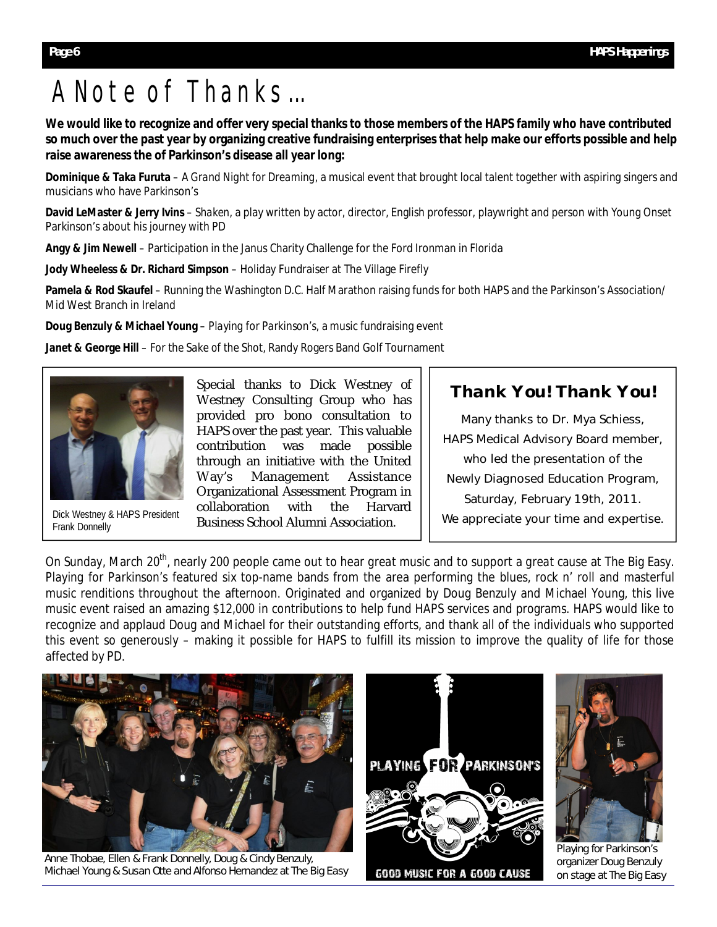# A Note of Thanks...

**We would like to recognize and offer very special thanks to those members of the HAPS family who have contributed so much over the past year by organizing creative fundraising enterprises that help make our efforts possible and help raise awareness the of Parkinson's disease all year long:** 

**Dominique & Taka Furuta** – *A Grand Night for Dreaming*, a musical event that brought local talent together with aspiring singers and musicians who have Parkinson's

**David LeMaster & Jerry Ivins** – *Shaken*, a play written by actor, director, English professor, playwright and person with Young Onset Parkinson's about his journey with PD

**Angy & Jim Newell** – Participation in the Janus Charity Challenge for the Ford Ironman in Florida

**Jody Wheeless & Dr. Richard Simpson** – Holiday Fundraiser at The Village Firefly

**Pamela & Rod Skaufel** – Running the Washington D.C. Half Marathon raising funds for both HAPS and the Parkinson's Association/ Mid West Branch in Ireland

**Doug Benzuly & Michael Young** – *Playing for Parkinson's,* a music fundraising event

**Janet & George Hill** – *For the Sake of the Shot*, Randy Rogers Band Golf Tournament



Frank Donnelly

Special thanks to Dick Westney of Westney Consulting Group who has provided pro bono consultation to HAPS over the past year. This valuable contribution was made possible through an initiative with the United Way's Management Assistance Organizational Assessment Program in collaboration with the Harvard Dick Westney & HAPS President Corriditor Consumer With the Figure 1<br>Erank Doppelly

### *Thank You! Thank You!*

Many thanks to Dr. Mya Schiess, HAPS Medical Advisory Board member, who led the presentation of the Newly Diagnosed Education Program, Saturday, February 19th, 2011. We appreciate your time and expertise.

On Sunday, March 20th, nearly 200 people came out to hear *great* music and to support a *great* cause at The Big Easy. *Playing for Parkinson's* featured six top-name bands from the area performing the blues, rock n' roll and masterful music renditions throughout the afternoon. Originated and organized by Doug Benzuly and Michael Young, this live music event raised an amazing \$12,000 in contributions to help fund HAPS services and programs. HAPS would like to recognize and applaud Doug and Michael for their outstanding efforts, and thank all of the individuals who supported this event so generously – making it possible for HAPS to fulfill its mission to improve the quality of life for those affected by PD.



Anne Thobae, Ellen & Frank Donnelly, Doug & Cindy Benzuly, Michael Young & Susan Otte and Alfonso Hernandez at The Big Easy



**GOOD MUSIC FOR A GOOD CAUSE** 



Playing for Parkinson's organizer Doug Benzuly on stage at The Big Easy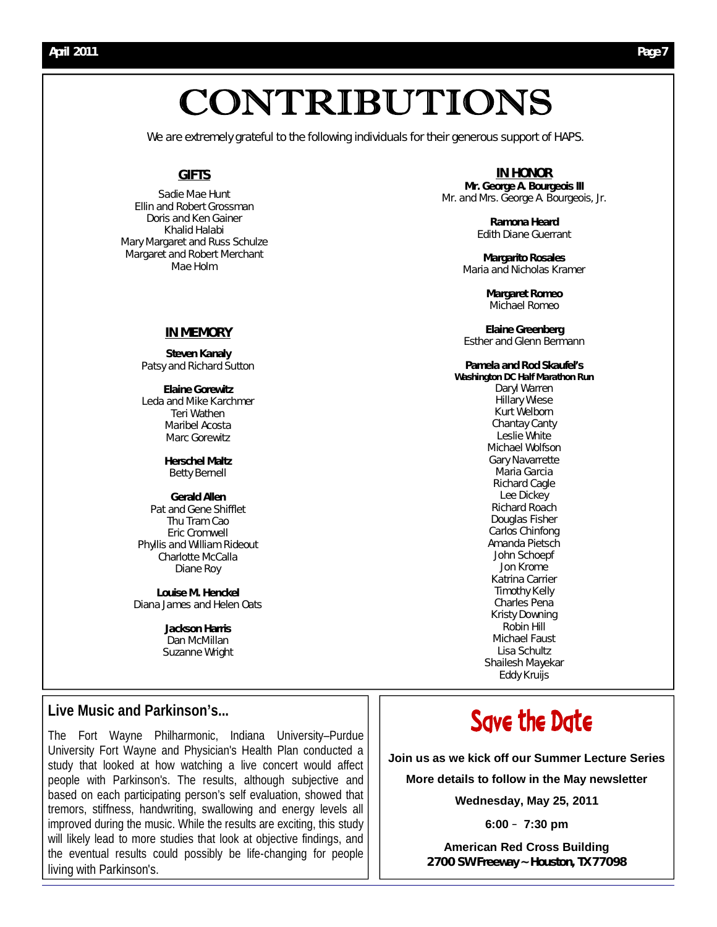# CONTRIBUTIONS

We are extremely grateful to the following individuals for their generous support of HAPS.

### **GIFTS**

Sadie Mae Hunt Ellin and Robert Grossman Doris and Ken Gainer Khalid Halabi Mary Margaret and Russ Schulze Margaret and Robert Merchant Mae Holm

#### **IN MEMORY**

*Steven Kanaly*  Patsy and Richard Sutton

*Elaine Gorewitz* Leda and Mike Karchmer Teri Wathen Maribel Acosta Marc Gorewitz

> *Herschel Maltz* Betty Bernell

*Gerald Allen* Pat and Gene Shifflet Thu Tram Cao Eric Cromwell Phyllis and William Rideout Charlotte McCalla Diane Roy

*Louise M. Henckel*  Diana James and Helen Oats

> *Jackson Harris* Dan McMillan Suzanne Wright

### **Live Music and Parkinson's...**

The Fort Wayne Philharmonic, Indiana University–Purdue University Fort Wayne and Physician's Health Plan conducted a study that looked at how watching a live concert would affect people with Parkinson's. The results, although subjective and based on each participating person's self evaluation, showed that tremors, stiffness, handwriting, swallowing and energy levels all improved during the music. While the results are exciting, this study will likely lead to more studies that look at objective findings, and the eventual results could possibly be life-changing for people living with Parkinson's.

**IN HONOR** *Mr. George A. Bourgeois III* Mr. and Mrs. George A. Bourgeois, Jr.

> *Ramona Heard* Edith Diane Guerrant

*Margarito Rosales*  Maria and Nicholas Kramer

> *Margaret Romeo* Michael Romeo

*Elaine Greenberg*  Esther and Glenn Bermann

### *Pamela and Rod Skaufel's*

*Washington DC Half Marathon Run*  Daryl Warren Hillary Wiese Kurt Welborn Chantay Canty Leslie White Michael Wolfson Gary Navarrette Maria Garcia Richard Cagle Lee Dickey Richard Roach Douglas Fisher Carlos Chinfong Amanda Pietsch John Schoepf Jon Krome Katrina Carrier Timothy Kelly Charles Pena Kristy Downing Robin Hill Michael Faust Lisa Schultz Shailesh Mayekar Eddy Kruijs

# Save the Date

**Join us as we kick off our Summer Lecture Series** 

**More details to follow in the May newsletter**

**Wednesday, May 25, 2011**

**6:00** – **7:30 pm**

**American Red Cross Building 2700 SW Freeway ~ Houston, TX 77098**